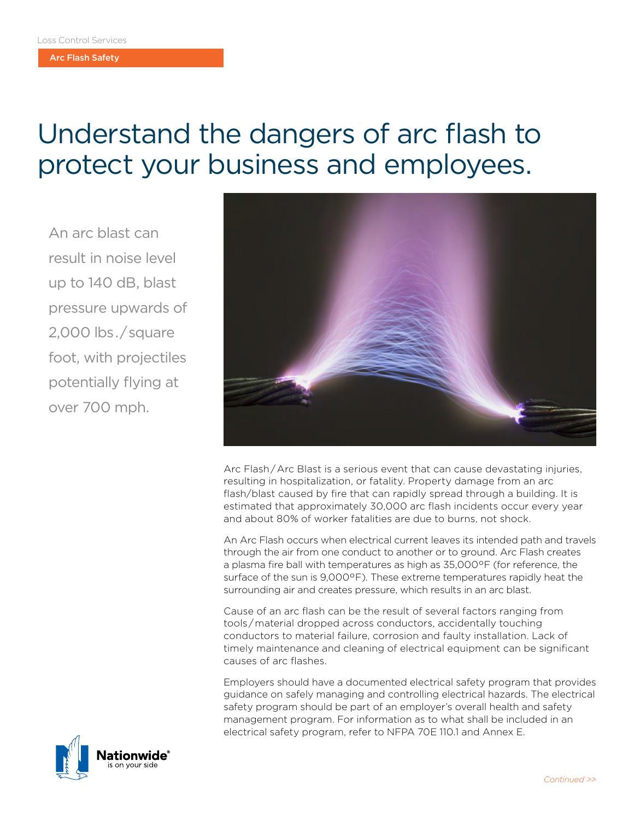Arc Flash Safety

## Understand the dangers of arc flash to protect your business and employees.

An arc blast can result in noise level up to 140 dB, blast pressure upwards of 2,000 lbs . / square foot, with projectiles potentially flying at over 700 mph.



Arc Flash / Arc Blast is a serious event that can cause devastating injuries, resulting in hospitalization, or fatality. Property damage from an arc flash/blast caused by fire that can rapidly spread through a building. It is estimated that approximately 30,000 arc flash incidents occur every year and about 80% of worker fatalities are due to burns, not shock.

An Arc Flash occurs when electrical current leaves its intended path and travels through the air from one conduct to another or to ground. Arc Flash creates a plasma fire ball with temperatures as high as 35,000°F (for reference, the surface of the sun is 9,000°F). These extreme temperatures rapidly heat the surrounding air and creates pressure, which results in an arc blast.

Cause of an arc flash can be the result of several factors ranging from tools / material dropped across conductors, accidentally touching conductors to material failure, corrosion and faulty installation. Lack of timely maintenance and cleaning of electrical equipment can be significant causes of arc flashes.

Employers should have a documented electrical safety program that provides guidance on safely managing and controlling electrical hazards. The electrical safety program should be part of an employer's overall health and safety management program. For information as to what shall be included in an electrical safety program, refer to NFPA 70E 110.1 and Annex E.

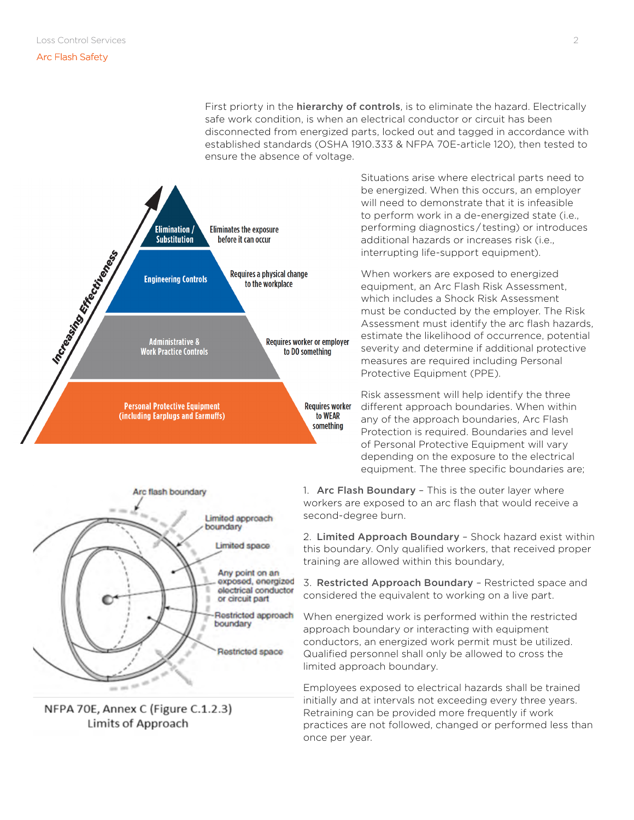## Arc Flash Safety

First priorty in the **hierarchy of controls**, is to eliminate the hazard. Electrically safe work condition, is when an electrical conductor or circuit has been disconnected from energized parts, locked out and tagged in accordance with established standards (OSHA 1910.333 & NFPA 70E-article 120), then tested to ensure the absence of voltage.





NFPA 70E, Annex C (Figure C.1.2.3) Limits of Approach

Situations arise where electrical parts need to be energized. When this occurs, an employer will need to demonstrate that it is infeasible to perform work in a de-energized state (i.e., performing diagnostics / testing) or introduces additional hazards or increases risk (i.e., interrupting life-support equipment).

When workers are exposed to energized equipment, an Arc Flash Risk Assessment, which includes a Shock Risk Assessment must be conducted by the employer. The Risk Assessment must identify the arc flash hazards, estimate the likelihood of occurrence, potential severity and determine if additional protective measures are required including Personal Protective Equipment (PPE).

Risk assessment will help identify the three different approach boundaries. When within any of the approach boundaries, Arc Flash Protection is required. Boundaries and level of Personal Protective Equipment will vary depending on the exposure to the electrical equipment. The three specific boundaries are;

1. Arc Flash Boundary – This is the outer layer where workers are exposed to an arc flash that would receive a second-degree burn.

2. Limited Approach Boundary - Shock hazard exist within this boundary. Only qualified workers, that received proper training are allowed within this boundary,

3. Restricted Approach Boundary – Restricted space and considered the equivalent to working on a live part.

When energized work is performed within the restricted approach boundary or interacting with equipment conductors, an energized work permit must be utilized. Qualified personnel shall only be allowed to cross the limited approach boundary.

Employees exposed to electrical hazards shall be trained initially and at intervals not exceeding every three years. Retraining can be provided more frequently if work practices are not followed, changed or performed less than once per year.